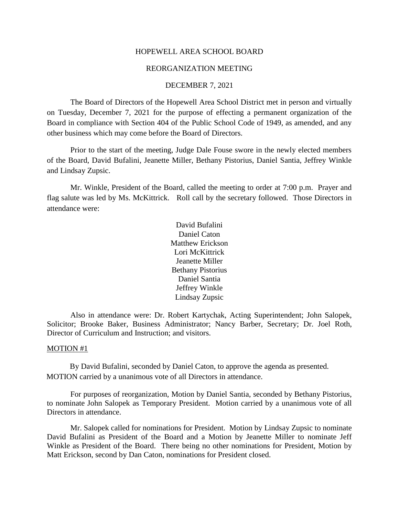#### HOPEWELL AREA SCHOOL BOARD

#### REORGANIZATION MEETING

#### DECEMBER 7, 2021

The Board of Directors of the Hopewell Area School District met in person and virtually on Tuesday, December 7, 2021 for the purpose of effecting a permanent organization of the Board in compliance with Section 404 of the Public School Code of 1949, as amended, and any other business which may come before the Board of Directors.

Prior to the start of the meeting, Judge Dale Fouse swore in the newly elected members of the Board, David Bufalini, Jeanette Miller, Bethany Pistorius, Daniel Santia, Jeffrey Winkle and Lindsay Zupsic.

Mr. Winkle, President of the Board, called the meeting to order at 7:00 p.m. Prayer and flag salute was led by Ms. McKittrick. Roll call by the secretary followed. Those Directors in attendance were:

> David Bufalini Daniel Caton Matthew Erickson Lori McKittrick Jeanette Miller Bethany Pistorius Daniel Santia Jeffrey Winkle Lindsay Zupsic

Also in attendance were: Dr. Robert Kartychak, Acting Superintendent; John Salopek, Solicitor; Brooke Baker, Business Administrator; Nancy Barber, Secretary; Dr. Joel Roth, Director of Curriculum and Instruction; and visitors.

#### MOTION #1

By David Bufalini, seconded by Daniel Caton, to approve the agenda as presented. MOTION carried by a unanimous vote of all Directors in attendance.

For purposes of reorganization, Motion by Daniel Santia, seconded by Bethany Pistorius, to nominate John Salopek as Temporary President. Motion carried by a unanimous vote of all Directors in attendance.

Mr. Salopek called for nominations for President. Motion by Lindsay Zupsic to nominate David Bufalini as President of the Board and a Motion by Jeanette Miller to nominate Jeff Winkle as President of the Board. There being no other nominations for President, Motion by Matt Erickson, second by Dan Caton, nominations for President closed.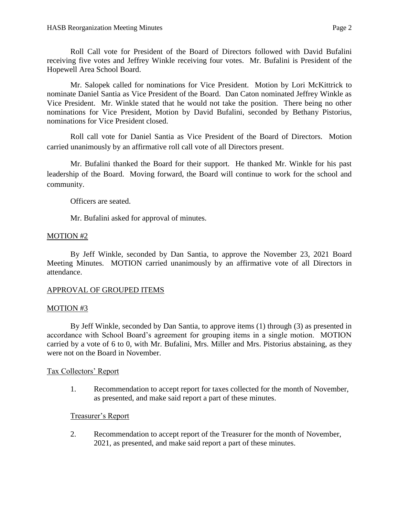Roll Call vote for President of the Board of Directors followed with David Bufalini receiving five votes and Jeffrey Winkle receiving four votes. Mr. Bufalini is President of the Hopewell Area School Board.

Mr. Salopek called for nominations for Vice President. Motion by Lori McKittrick to nominate Daniel Santia as Vice President of the Board. Dan Caton nominated Jeffrey Winkle as Vice President. Mr. Winkle stated that he would not take the position. There being no other nominations for Vice President, Motion by David Bufalini, seconded by Bethany Pistorius, nominations for Vice President closed.

Roll call vote for Daniel Santia as Vice President of the Board of Directors. Motion carried unanimously by an affirmative roll call vote of all Directors present.

Mr. Bufalini thanked the Board for their support. He thanked Mr. Winkle for his past leadership of the Board. Moving forward, the Board will continue to work for the school and community.

Officers are seated.

Mr. Bufalini asked for approval of minutes.

# MOTION #2

By Jeff Winkle, seconded by Dan Santia, to approve the November 23, 2021 Board Meeting Minutes. MOTION carried unanimously by an affirmative vote of all Directors in attendance.

# APPROVAL OF GROUPED ITEMS

## MOTION #3

By Jeff Winkle, seconded by Dan Santia, to approve items (1) through (3) as presented in accordance with School Board's agreement for grouping items in a single motion. MOTION carried by a vote of 6 to 0, with Mr. Bufalini, Mrs. Miller and Mrs. Pistorius abstaining, as they were not on the Board in November.

## Tax Collectors' Report

1. Recommendation to accept report for taxes collected for the month of November, as presented, and make said report a part of these minutes.

# Treasurer's Report

2. Recommendation to accept report of the Treasurer for the month of November, 2021, as presented, and make said report a part of these minutes.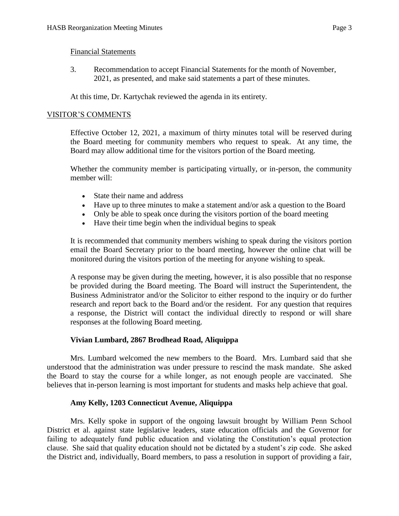3. Recommendation to accept Financial Statements for the month of November, 2021, as presented, and make said statements a part of these minutes.

At this time, Dr. Kartychak reviewed the agenda in its entirety.

## VISITOR'S COMMENTS

Effective October 12, 2021, a maximum of thirty minutes total will be reserved during the Board meeting for community members who request to speak. At any time, the Board may allow additional time for the visitors portion of the Board meeting.

Whether the community member is participating virtually, or in-person, the community member will:

- State their name and address
- Have up to three minutes to make a statement and/or ask a question to the Board
- Only be able to speak once during the visitors portion of the board meeting
- Have their time begin when the individual begins to speak

It is recommended that community members wishing to speak during the visitors portion email the Board Secretary prior to the board meeting, however the online chat will be monitored during the visitors portion of the meeting for anyone wishing to speak.

A response may be given during the meeting, however, it is also possible that no response be provided during the Board meeting. The Board will instruct the Superintendent, the Business Administrator and/or the Solicitor to either respond to the inquiry or do further research and report back to the Board and/or the resident. For any question that requires a response, the District will contact the individual directly to respond or will share responses at the following Board meeting.

## **Vivian Lumbard, 2867 Brodhead Road, Aliquippa**

Mrs. Lumbard welcomed the new members to the Board. Mrs. Lumbard said that she understood that the administration was under pressure to rescind the mask mandate. She asked the Board to stay the course for a while longer, as not enough people are vaccinated. She believes that in-person learning is most important for students and masks help achieve that goal.

### **Amy Kelly, 1203 Connecticut Avenue, Aliquippa**

Mrs. Kelly spoke in support of the ongoing lawsuit brought by William Penn School District et al. against state legislative leaders, state education officials and the Governor for failing to adequately fund public education and violating the Constitution's equal protection clause. She said that quality education should not be dictated by a student's zip code. She asked the District and, individually, Board members, to pass a resolution in support of providing a fair,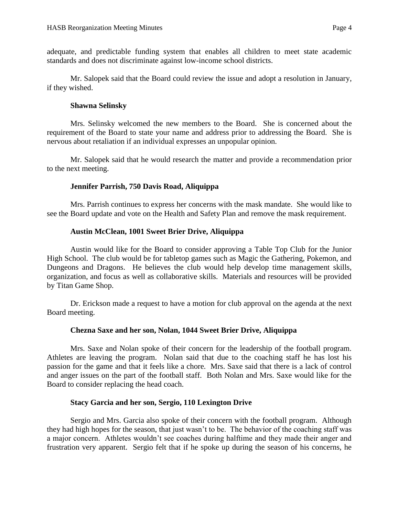adequate, and predictable funding system that enables all children to meet state academic standards and does not discriminate against low-income school districts.

Mr. Salopek said that the Board could review the issue and adopt a resolution in January, if they wished.

### **Shawna Selinsky**

Mrs. Selinsky welcomed the new members to the Board. She is concerned about the requirement of the Board to state your name and address prior to addressing the Board. She is nervous about retaliation if an individual expresses an unpopular opinion.

Mr. Salopek said that he would research the matter and provide a recommendation prior to the next meeting.

## **Jennifer Parrish, 750 Davis Road, Aliquippa**

Mrs. Parrish continues to express her concerns with the mask mandate. She would like to see the Board update and vote on the Health and Safety Plan and remove the mask requirement.

## **Austin McClean, 1001 Sweet Brier Drive, Aliquippa**

Austin would like for the Board to consider approving a Table Top Club for the Junior High School. The club would be for tabletop games such as Magic the Gathering, Pokemon, and Dungeons and Dragons. He believes the club would help develop time management skills, organization, and focus as well as collaborative skills. Materials and resources will be provided by Titan Game Shop.

Dr. Erickson made a request to have a motion for club approval on the agenda at the next Board meeting.

## **Chezna Saxe and her son, Nolan, 1044 Sweet Brier Drive, Aliquippa**

Mrs. Saxe and Nolan spoke of their concern for the leadership of the football program. Athletes are leaving the program. Nolan said that due to the coaching staff he has lost his passion for the game and that it feels like a chore. Mrs. Saxe said that there is a lack of control and anger issues on the part of the football staff. Both Nolan and Mrs. Saxe would like for the Board to consider replacing the head coach.

### **Stacy Garcia and her son, Sergio, 110 Lexington Drive**

Sergio and Mrs. Garcia also spoke of their concern with the football program. Although they had high hopes for the season, that just wasn't to be. The behavior of the coaching staff was a major concern. Athletes wouldn't see coaches during halftime and they made their anger and frustration very apparent. Sergio felt that if he spoke up during the season of his concerns, he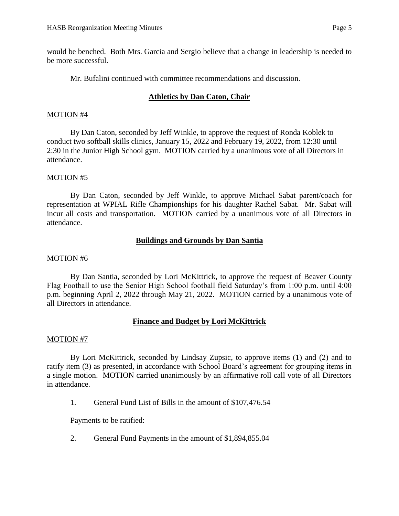would be benched. Both Mrs. Garcia and Sergio believe that a change in leadership is needed to be more successful.

Mr. Bufalini continued with committee recommendations and discussion.

# **Athletics by Dan Caton, Chair**

## MOTION #4

By Dan Caton, seconded by Jeff Winkle, to approve the request of Ronda Koblek to conduct two softball skills clinics, January 15, 2022 and February 19, 2022, from 12:30 until 2:30 in the Junior High School gym. MOTION carried by a unanimous vote of all Directors in attendance.

# MOTION #5

By Dan Caton, seconded by Jeff Winkle, to approve Michael Sabat parent/coach for representation at WPIAL Rifle Championships for his daughter Rachel Sabat. Mr. Sabat will incur all costs and transportation. MOTION carried by a unanimous vote of all Directors in attendance.

# **Buildings and Grounds by Dan Santia**

## MOTION #6

By Dan Santia, seconded by Lori McKittrick, to approve the request of Beaver County Flag Football to use the Senior High School football field Saturday's from 1:00 p.m. until 4:00 p.m. beginning April 2, 2022 through May 21, 2022. MOTION carried by a unanimous vote of all Directors in attendance.

# **Finance and Budget by Lori McKittrick**

## MOTION #7

By Lori McKittrick, seconded by Lindsay Zupsic, to approve items (1) and (2) and to ratify item (3) as presented, in accordance with School Board's agreement for grouping items in a single motion. MOTION carried unanimously by an affirmative roll call vote of all Directors in attendance.

1. General Fund List of Bills in the amount of \$107,476.54

Payments to be ratified:

2. General Fund Payments in the amount of \$1,894,855.04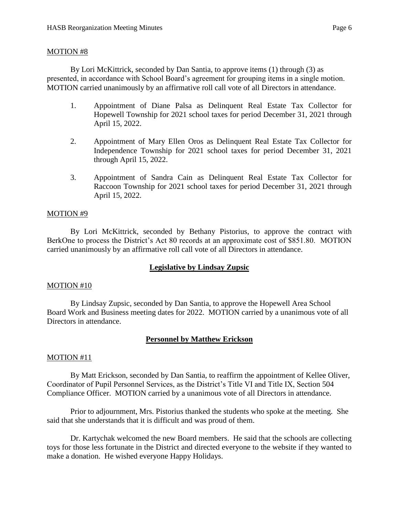#### MOTION #8

By Lori McKittrick, seconded by Dan Santia, to approve items (1) through (3) as presented, in accordance with School Board's agreement for grouping items in a single motion. MOTION carried unanimously by an affirmative roll call vote of all Directors in attendance.

- 1. Appointment of Diane Palsa as Delinquent Real Estate Tax Collector for Hopewell Township for 2021 school taxes for period December 31, 2021 through April 15, 2022.
- 2. Appointment of Mary Ellen Oros as Delinquent Real Estate Tax Collector for Independence Township for 2021 school taxes for period December 31, 2021 through April 15, 2022.
- 3. Appointment of Sandra Cain as Delinquent Real Estate Tax Collector for Raccoon Township for 2021 school taxes for period December 31, 2021 through April 15, 2022.

### MOTION #9

By Lori McKittrick, seconded by Bethany Pistorius, to approve the contract with BerkOne to process the District's Act 80 records at an approximate cost of \$851.80. MOTION carried unanimously by an affirmative roll call vote of all Directors in attendance.

### **Legislative by Lindsay Zupsic**

#### MOTION #10

By Lindsay Zupsic, seconded by Dan Santia, to approve the Hopewell Area School Board Work and Business meeting dates for 2022. MOTION carried by a unanimous vote of all Directors in attendance.

### **Personnel by Matthew Erickson**

#### MOTION #11

By Matt Erickson, seconded by Dan Santia, to reaffirm the appointment of Kellee Oliver, Coordinator of Pupil Personnel Services, as the District's Title VI and Title IX, Section 504 Compliance Officer. MOTION carried by a unanimous vote of all Directors in attendance.

Prior to adjournment, Mrs. Pistorius thanked the students who spoke at the meeting. She said that she understands that it is difficult and was proud of them.

Dr. Kartychak welcomed the new Board members. He said that the schools are collecting toys for those less fortunate in the District and directed everyone to the website if they wanted to make a donation. He wished everyone Happy Holidays.